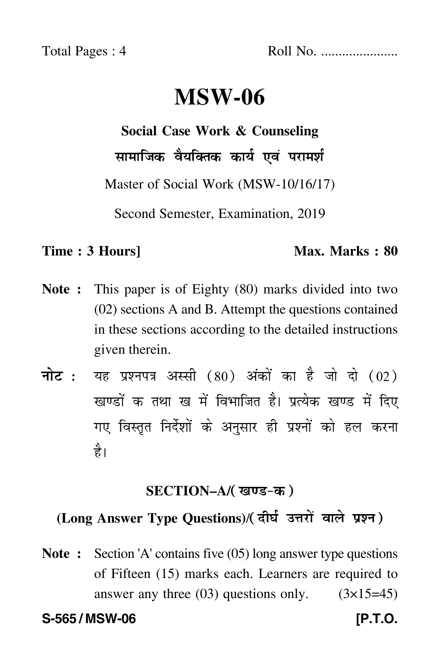Total Pages : 4 Roll No. ......................

# **MSW-06**

**Social Case Work & Counseling**

सामाजिक वैयक्तिक कार्य एवं परामर्श  $\ddot{\phantom{a}}$ 

Master of Social Work (MSW-10/16/17)

Second Semester, Examination, 2019

#### **Time : 3 Hours]** Max. Marks : 80

- **Note :** This paper is of Eighty (80) marks divided into two (02) sections A and B. Attempt the questions contained in these sections according to the detailed instructions given therein.
- नोट : यह प्रश्नपत्र अस्सी (80) अंकों का है जो दो (02) खण्डों क तथा ख में विभाजित है। प्रत्येक खण्ड में दिए गए विस्तृत निर्देशों के अनुसार ही प्रश्नों को हल करन<mark>ा</mark> है।

## <u>SECTION–A/( खण्ड-क</u> )

# (Long Answer Type Questions)/( दीर्घ उत्तरों वाले प्रश्न )

**Note :** Section 'A' contains five (05) long answer type questions of Fifteen (15) marks each. Learners are required to answer any three  $(03)$  questions only.  $(3\times15=45)$ 

**S-565 / MSW-06 [P.T.O.**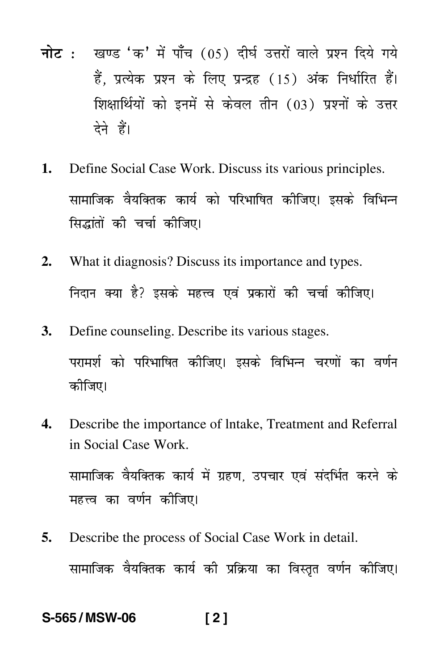- नोट : खण्ड 'क' में पाँच (05) दीर्घ उत्तरों वाले प्रश्न दिये गये हैं. प्रत्येक प्रश्न के लिए प्रन्द्रह (15) अंक निर्धारित हैं। शिक्षार्थियों को इनमें से केवल तीन (03) प्रश्नों के उत्तर देने हैं।
- Define Social Case Work. Discuss its various principles.  $1<sub>1</sub>$ सामाजिक वैयक्तिक कार्य को परिभाषित कीजिए। इसके विभिन्न सिद्धांतों की चर्चा कीजिए।
- $2.$ What it diagnosis? Discuss its importance and types. निदान क्या है? इसके महत्त्व एवं प्रकारों की चर्चा कीजिए।
- 3. Define counseling. Describe its various stages. परामर्श को परिभाषित कीजिए। इसके विभिन्न चरणों का वर्णन कीजिए।
- Describe the importance of Intake, Treatment and Referral  $\mathbf{4}$ in Social Case Work. सामाजिक वैयक्तिक कार्य में ग्रहण. उपचार एवं संदर्भित करने के महत्त्व का वर्णन कीजिए।
- Describe the process of Social Case Work in detail. 5. सामाजिक वैयक्तिक कार्य की प्रक्रिया का विस्तृत वर्णन कीजिए।

S-565/MSW-06  $[2]$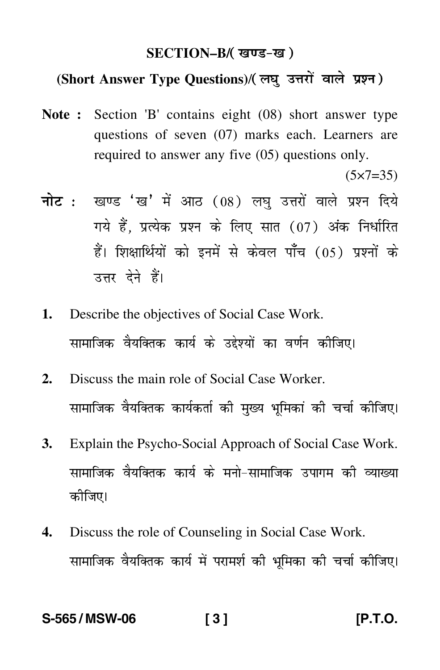## SECTION–B/( खण्ड-ख )

## (Short Answer Type Questions)/(लघु उत्तरों वाले प्रश्न)

**Note :** Section 'B' contains eight (08) short answer type questions of seven (07) marks each. Learners are required to answer any five (05) questions only.

 $(5 \times 7 = 35)$ 

- <mark>नोट</mark> : खण्ड 'ख' में आठ (08) लघु उत्तरों वाले प्रश्न दिये गये हैं, प्रत्येक प्रश्न के लिए सात (07) अंक निर्धारित हैं। शिक्षार्थियों को इनमें से केवल पाँच (05) प्रश्नों के उत्तर देने हैं।
- **1.** Describe the objectives of Social Case Work. सामाजिक वैयक्तिक कार्य के उद्देश्यों का वर्णन कीजिए। Ì
- **2.** Discuss the main role of Social Case Worker. सामाजिक वैयक्तिक कार्यकर्ता की मुख्य भूमिकां की चर्चा कीजिए।
- **3.** Explain the Psycho-Social Approach of Social Case Work. सामाजिक वैयक्तिक कार्य के मनो–सामाजिक उपागम की व्याख्य --कोजिए।
- **4.** Discuss the role of Counseling in Social Case Work. सामाजिक वैयक्तिक कार्य में परामर्श की भूमिका की चर्चा कीजिए।

#### **S-565 / MSW-06 [ 3 ] [P.T.O.**